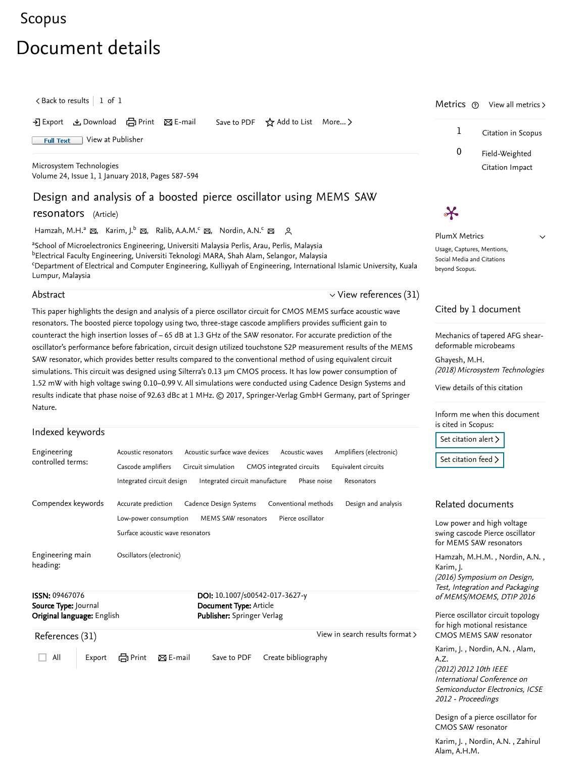# [Scopus](https://www.scopus.com/home.uri?zone=header&origin=searchbasic)

# Document details

 $\zeta$  [Back to results](https://www.scopus.com/results/results.uri?sort=plf-f&src=s&st1=Design+and+analysis+of+a+boosted+pierce+oscillator+using+MEMS+SAW+resonators&st2=&sid=f00cc16ef5c8efa029937352cc48fad8&sot=b&sdt=b&sl=83&s=TITLE%28Design+and+analysis+of+a+boosted+pierce+oscillator+using+MEMS+SAW+resonators%29&offset=1&origin=recordpage)  $\vert\,$  1 of 1  $\,$ 

• Export と Download ( Print ⊠ E-mail Save to PDF ☆ Add to List More... 〉

Full Text [View at Publisher](https://www.scopus.com/redirect/linking.uri?targetURL=https%3a%2f%2fdoi.org%2f10.1007%2fs00542-017-3627-y&locationID=1&categoryID=4&eid=2-s2.0-85034844141&issn=09467076&linkType=ViewAtPublisher&year=2018&origin=recordpage&dig=6a6f04600723c802df4ad469190ba831&recordRank=)

[Microsystem Technologies](https://www.scopus.com/sourceid/26738?origin=recordpage) Volume 24, Issue 1, 1 January 2018, Pages 587-594

# Design and analysis of a boosted pierce oscillator using MEMS SAW

resonators (Article)

[Hamzah, M.H.](https://www.scopus.com/authid/detail.uri?authorId=56511483800&eid=2-s2.0-85034844141)ª ⊠, [Karim, J.](https://www.scopus.com/authid/detail.uri?authorId=35145934400&eid=2-s2.0-85034844141)<sup>b</sup> ⊠, [Ralib, A.A.M.](https://www.scopus.com/authid/detail.uri?authorId=57193547521&eid=2-s2.0-85034844141)<sup>c</sup> ⊠, [Nordin, A.N.](https://www.scopus.com/authid/detail.uri?authorId=7005958999&eid=2-s2.0-85034844141)<sup>c</sup> ⊠ A

<sup>a</sup>School of Microelectronics Engineering, Universiti Malaysia Perlis, Arau, Perlis, Malaysia <sup>b</sup>Electrical Faculty Engineering, Universiti Teknologi MARA, Shah Alam, Selangor, Malaysia <sup>c</sup>Department of Electrical and Computer Engineering, Kulliyyah of Engineering, International Islamic University, Kuala Lumpur, Malaysia

#### Abstract

This paper highlights the design and analysis of a pierce oscillator circuit for CMOS MEMS surface acoustic wave resonators. The boosted pierce topology using two, three-stage cascode amplifiers provides sufficient gain to counteract the high insertion losses of − 65 dB at 1.3 GHz of the SAW resonator. For accurate prediction of the oscillator's performance before fabrication, circuit design utilized touchstone S2P measurement results of the MEMS SAW resonator, which provides better results compared to the conventional method of using equivalent circuit simulations. This circuit was designed using Silterra's 0.13 μm CMOS process. It has low power consumption of 1.52 mW with high voltage swing 0.10–0.99 V. All simulations were conducted using Cadence Design Systems and results indicate that phase noise of 92.63 dBc at 1 MHz. © 2017, Springer-Verlag GmbH Germany, part of Springer Nature.

## Indexed keywords

<span id="page-0-0"></span>

| Engineering                  | Acoustic surface wave devices<br>Acoustic waves<br>Amplifiers (electronic)<br>Acoustic resonators |
|------------------------------|---------------------------------------------------------------------------------------------------|
| controlled terms:            | Cascode amplifiers<br>CMOS integrated circuits<br>Equivalent circuits<br>Circuit simulation       |
|                              | Integrated circuit manufacture<br>Integrated circuit design<br>Phase noise<br>Resonators          |
| Compendex keywords           | Conventional methods<br>Accurate prediction<br>Cadence Design Systems<br>Design and analysis      |
|                              | Pierce oscillator<br>MEMS SAW resonators<br>Low-power consumption                                 |
|                              | Surface acoustic wave resonators                                                                  |
| Engineering main<br>heading: | Oscillators (electronic)                                                                          |
| <b>ISSN: 09467076</b>        | DOI: 10.1007/s00542-017-3627-y                                                                    |
| Source Type: Journal         | Document Type: Article                                                                            |
| Original language: English   | <b>Publisher:</b> Springer Verlag                                                                 |
| References (31)              | View in search results format >                                                                   |
| All<br>Export                | em Print<br>$\boxtimes$ E-mail<br>Save to PDF<br>Create bibliography                              |

Metrics  $\circledcirc$  View all metrics  $\gt$ 1 Citation in Scopus

> 0 Field-Weighted Citation Impact

> > $\checkmark$

PlumX Metrics Usage, Captures, Mentions, Social Media and Citations beyond Scopus.

 $\boldsymbol{\varkappa}$ 

## Cited by 1 document

 $\vee$  [View references \(31\)](#page-0-0)

[Mechanics of tapered AFG shear](https://www.scopus.com/record/display.uri?origin=citedby&eid=2-s2.0-85042627315&citeCnt=1&noHighlight=false&sort=plf-f&src=s&st1=Design+and+analysis+of+a+boosted+pierce+oscillator+using+MEMS+SAW+resonators&st2=&sid=f00cc16ef5c8efa029937352cc48fad8&sot=b&sdt=b&sl=83&s=TITLE%28Design+and+analysis+of+a+boosted+pierce+oscillator+using+MEMS+SAW+resonators%29&relpos=0)deformable microbeams

(2018) Microsystem Technologies [Ghayesh, M.H.](https://www.scopus.com/authid/detail.uri?origin=citedby&authorId=20435268200&zone=)

[View details of this citation](https://www.scopus.com/search/submit/citedby.uri?eid=2-s2.0-85034844141&src=s&origin=recordpage)

Inform me when this document is cited in Scopus:

[Set citation alert](https://www.scopus.com/alert/form/document.uri?eid=2-s2.0-85034844141&ATP=document&discoveryEngineID=scopusdoccite&discoveryEventID=NEW&mode=C&AID=NEW&origin=recordpage&view=extended) >

[Set citation feed](https://www.scopus.com/results/rss/handler.uri?citeEid=2-s2.0-85034844141) >

### Related documents

Low power and high voltage [swing cascode Pierce oscillator](https://www.scopus.com/record/display.uri?origin=recordpage&zone=relatedDocuments&eid=2-s2.0-84980002665&citeCnt=1&noHighlight=false&sort=plf-f&src=s&st1=Design+and+analysis+of+a+boosted+pierce+oscillator+using+MEMS+SAW+resonators&st2=&sid=f00cc16ef5c8efa029937352cc48fad8&sot=b&sdt=b&sl=83&s=TITLE%28Design+and+analysis+of+a+boosted+pierce+oscillator+using+MEMS+SAW+resonators%29&relpos=0) for MEMS SAW resonators

[Hamzah, M.H.M.](https://www.scopus.com/authid/detail.uri?origin=recordpage&authorId=56511483800&zone=relatedDocuments) , Nordin, A.N. , (2016) Symposium on Design, Test, Integration and Packaging of MEMS/MOEMS, DTIP 2016 [Karim, J.](https://www.scopus.com/authid/detail.uri?origin=recordpage&authorId=35145934400&zone=relatedDocuments)

[Pierce oscillator circuit topology](https://www.scopus.com/record/display.uri?origin=recordpage&zone=relatedDocuments&eid=2-s2.0-84874141060&citeCnt=1&noHighlight=false&sort=plf-f&src=s&st1=Design+and+analysis+of+a+boosted+pierce+oscillator+using+MEMS+SAW+resonators&st2=&sid=f00cc16ef5c8efa029937352cc48fad8&sot=b&sdt=b&sl=83&s=TITLE%28Design+and+analysis+of+a+boosted+pierce+oscillator+using+MEMS+SAW+resonators%29&relpos=1) for high motional resistance CMOS MEMS SAW resonator

[Karim, J.](https://www.scopus.com/authid/detail.uri?origin=recordpage&authorId=35145934400&zone=relatedDocuments) , Nordin, A.N. , Alam, (2012) 2012 10th IEEE International Conference on Semiconductor Electronics, ICSE 2012 - Proceedings A.Z.

[Design of a pierce oscillator for](https://www.scopus.com/record/display.uri?origin=recordpage&zone=relatedDocuments&eid=2-s2.0-84867261264&citeCnt=1&noHighlight=false&sort=plf-f&src=s&st1=Design+and+analysis+of+a+boosted+pierce+oscillator+using+MEMS+SAW+resonators&st2=&sid=f00cc16ef5c8efa029937352cc48fad8&sot=b&sdt=b&sl=83&s=TITLE%28Design+and+analysis+of+a+boosted+pierce+oscillator+using+MEMS+SAW+resonators%29&relpos=2) CMOS SAW resonator

[, ,](https://www.scopus.com/authid/detail.uri?origin=recordpage&authorId=57195185389&zone=relatedDocuments)  [Karim, J.](https://www.scopus.com/authid/detail.uri?origin=recordpage&authorId=35145934400&zone=relatedDocuments) Nordin, A.N. Zahirul Alam, A.H.M.